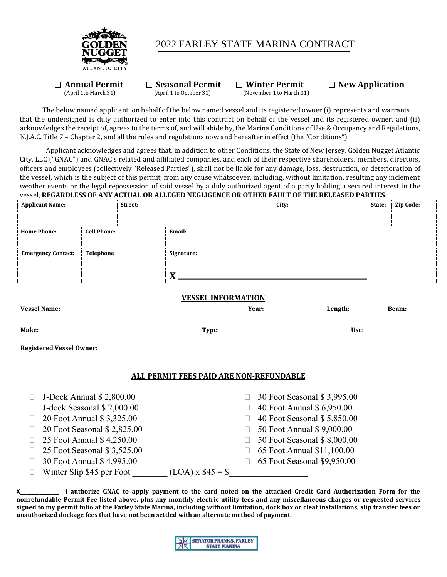

## 2022 FARLEY STATE MARINA CONTRACT

 $\Box$  **Annual Permit**  $\Box$  **Seasonal Permit**  $\Box$  **Winter Permit**  $\Box$  **New Application** *(April 1 to October 31) (November 1 to March 31)* 

(November 1 to March 31)

The below named applicant, on behalf of the below named vessel and its registered owner (i) represents and warrants that the undersigned is duly authorized to enter into this contract on behalf of the vessel and its registered owner, and (ii) acknowledges the receipt of, agrees to the terms of, and will abide by, the Marina Conditions of Use & Occupancy and Regulations, N.J.A.C. Title 7 – Chapter 2, and all the rules and regulations now and hereafter in effect (the "Conditions").

Applicant acknowledges and agrees that, in addition to other Conditions, the State of New Jersey, Golden Nugget Atlantic City, LLC ("GNAC") and GNAC's related and affiliated companies, and each of their respective shareholders, members, directors, officers and employees (collectively "Released Parties"), shall not be liable for any damage, loss, destruction, or deterioration of the vessel, which is the subject of this permit, from any cause whatsoever, including, without limitation, resulting any inclement weather events or the legal repossession of said vessel by a duly authorized agent of a party holding a secured interest in the vessel, **REGARDLESS OF ANY ACTUAL OR ALLEGED NEGLIGENCE OR OTHER FAULT OF THE RELEASED PARTIES**.

|           | Street: |                    | City: | State: | Zip Code: |
|-----------|---------|--------------------|-------|--------|-----------|
|           |         |                    |       |        |           |
|           |         | Email:             |       |        |           |
|           |         |                    |       |        |           |
| Telephone |         | Signature:         |       |        |           |
|           |         |                    |       |        |           |
|           |         |                    |       |        |           |
|           |         | <b>Cell Phone:</b> |       |        |           |

#### **VESSEL INFORMATION**

| <b>Vessel Name:</b>             |       | Year: | Length: |  | <b>Beam:</b> |
|---------------------------------|-------|-------|---------|--|--------------|
| Make:                           | Type: |       | Use:    |  |              |
| <b>Registered Vessel Owner:</b> |       |       |         |  |              |

#### **ALL PERMIT FEES PAID ARE NON-REFUNDABLE**

- $\Box$  J-Dock Annual \$ 2,800.00
- J-dock Seasonal \$ 2,000.00
- **20 Foot Annual \$ 3,325.00**
- □ 20 Foot Seasonal \$ 2,825.00
- **25 Foot Annual \$ 4,250.00**
- **25 Foot Seasonal \$ 3,525.00**
- 30 Foot Annual \$ 4,995.00
- □ 30 Foot Seasonal \$ 3,995.00
- $\Box$  40 Foot Annual \$ 6,950.00
- □ 40 Foot Seasonal \$ 5,850.00
- □ 50 Foot Annual \$ 9,000.00
- □ 50 Foot Seasonal \$ 8,000.00
- **65 Foot Annual \$11,100.00**
- 65 Foot Seasonal \$9,950.00

Winter Slip \$45 per Foot \_\_\_\_\_\_\_\_ (LOA) x \$45 = \$\_\_\_\_\_\_\_\_\_\_\_\_\_\_\_\_\_\_

**X\_\_\_\_\_\_\_\_\_\_\_\_ I authorize GNAC to apply payment to the card noted on the attached Credit Card Authorization Form for the nonrefundable Permit Fee listed above, plus any monthly electric utility fees and any miscellaneous charges or requested services signed to my permit folio at the Farley State Marina, including without limitation, dock box or cleat installations, slip transfer fees or unauthorized dockage fees that have not been settled with an alternate method of payment.** 

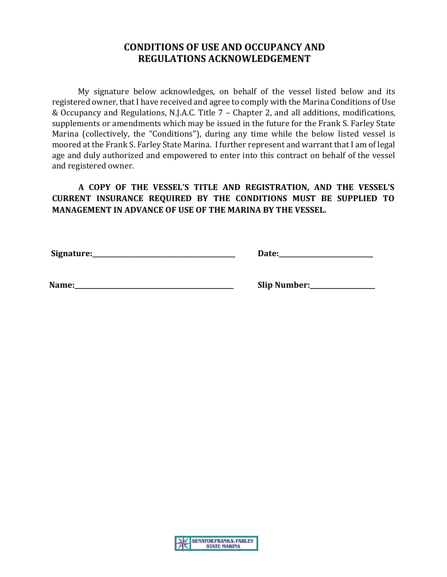# **CONDITIONS OF USE AND OCCUPANCY AND REGULATIONS ACKNOWLEDGEMENT**

My signature below acknowledges, on behalf of the vessel listed below and its registered owner, that I have received and agree to comply with the Marina Conditions of Use & Occupancy and Regulations, N.J.A.C. Title 7 – Chapter 2, and all additions, modifications, supplements or amendments which may be issued in the future for the Frank S. Farley State Marina (collectively, the "Conditions"), during any time while the below listed vessel is moored at the Frank S. Farley State Marina. I further represent and warrant that I am of legal age and duly authorized and empowered to enter into this contract on behalf of the vessel and registered owner.

**A COPY OF THE VESSEL'S TITLE AND REGISTRATION, AND THE VESSEL'S CURRENT INSURANCE REQUIRED BY THE CONDITIONS MUST BE SUPPLIED TO MANAGEMENT IN ADVANCE OF USE OF THE MARINA BY THE VESSEL.** 

 **Signature:\_\_\_\_\_\_\_\_\_\_\_\_\_\_\_\_\_\_\_\_\_\_\_\_\_\_\_\_\_\_\_\_\_\_\_\_\_\_\_\_\_\_\_\_ Date:\_\_\_\_\_\_\_\_\_\_\_\_\_\_\_\_\_\_\_\_\_\_\_\_\_\_\_\_\_** 

 **Name:\_\_\_\_\_\_\_\_\_\_\_\_\_\_\_\_\_\_\_\_\_\_\_\_\_\_\_\_\_\_\_\_\_\_\_\_\_\_\_\_\_\_\_\_\_\_\_\_\_ Slip Number:\_\_\_\_\_\_\_\_\_\_\_\_\_\_\_\_\_\_\_\_** 

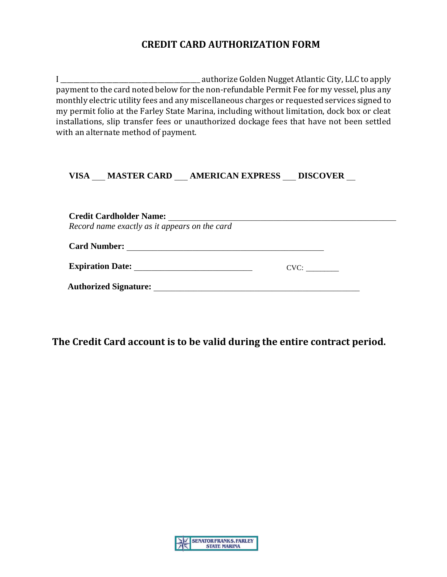# **CREDIT CARD AUTHORIZATION FORM**

I \_\_\_\_\_\_\_\_\_\_\_\_\_\_\_\_\_\_\_\_\_\_\_\_\_\_\_\_\_\_\_\_\_\_\_\_\_\_\_\_\_\_\_ authorize Golden Nugget Atlantic City, LLC to apply payment to the card noted below for the non-refundable Permit Fee for my vessel, plus any monthly electric utility fees and any miscellaneous charges or requested services signed to my permit folio at the Farley State Marina, including without limitation, dock box or cleat installations, slip transfer fees or unauthorized dockage fees that have not been settled with an alternate method of payment.

### **VISA** \_\_\_ **MASTER CARD** \_\_\_ **AMERICAN EXPRESS** \_\_\_ **DISCOVER** \_\_

**Credit Cardholder Name:** \_\_\_\_\_\_\_\_\_\_\_\_\_\_\_\_\_\_\_\_\_\_\_\_\_\_\_\_\_\_\_\_\_\_\_\_\_\_\_\_\_\_\_\_\_\_\_\_\_\_\_\_ *Record name exactly as it appears on the card*  **Card Number:** \_\_\_\_\_\_\_\_\_\_\_\_\_\_\_\_\_\_\_\_\_\_\_\_\_\_\_\_\_\_\_\_\_\_\_\_\_\_\_\_\_\_\_\_\_ **Expiration Date:** \_\_\_\_\_\_\_\_\_\_\_\_\_\_\_\_\_\_\_\_\_\_\_\_\_\_\_ CVC: \_\_\_\_\_\_\_\_\_**Authorized Signature:** \_\_\_\_\_\_\_\_\_\_\_\_\_\_\_\_\_\_\_\_\_\_\_\_\_\_\_\_\_\_\_\_\_\_\_\_\_\_\_\_\_\_\_\_\_\_\_

**The Credit Card account is to be valid during the entire contract period.** 

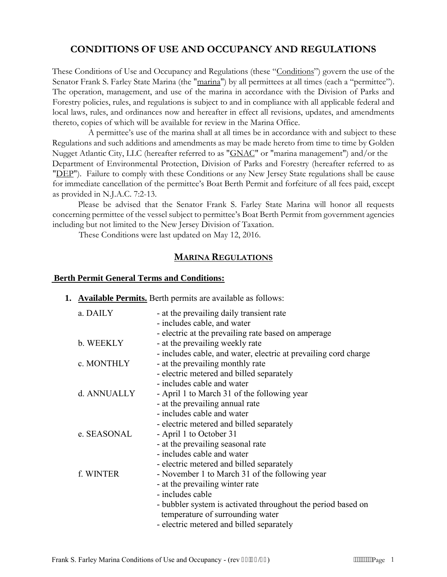# **CONDITIONS OF USE AND OCCUPANCY AND REGULATIONS**

These Conditions of Use and Occupancy and Regulations (these "Conditions") govern the use of the Senator Frank S. Farley State Marina (the "marina") by all permittees at all times (each a "permittee"). The operation, management, and use of the marina in accordance with the Division of Parks and Forestry policies, rules, and regulations is subject to and in compliance with all applicable federal and local laws, rules, and ordinances now and hereafter in effect all revisions, updates, and amendments thereto, copies of which will be available for review in the Marina Office.

A permittee's use of the marina shall at all times be in accordance with and subject to these Regulations and such additions and amendments as may be made hereto from time to time by Golden Nugget Atlantic City, LLC (hereafter referred to as "GNAC" or "marina management") and/or the Department of Environmental Protection, Division of Parks and Forestry (hereafter referred to as "DEP"). Failure to comply with these Conditions or any New Jersey State regulations shall be cause for immediate cancellation of the permittee's Boat Berth Permit and forfeiture of all fees paid, except as provided in N.J.A.C. 7:2-13.

 Please be advised that the Senator Frank S. Farley State Marina will honor all requests concerning permittee of the vessel subject to permittee's Boat Berth Permit from government agencies including but not limited to the New Jersey Division of Taxation.

These Conditions were last updated on May 12, 2016.

#### **MARINA REGULATIONS**

#### **Berth Permit General Terms and Conditions:**

| <b>1.</b> Available Permits. Berth permits are available as follows: |  |
|----------------------------------------------------------------------|--|
|----------------------------------------------------------------------|--|

| a. DAILY    | - at the prevailing daily transient rate                        |
|-------------|-----------------------------------------------------------------|
|             | - includes cable, and water                                     |
|             | - electric at the prevailing rate based on amperage             |
| b. WEEKLY   | - at the prevailing weekly rate                                 |
|             | - includes cable, and water, electric at prevailing cord charge |
| c. MONTHLY  | - at the prevailing monthly rate                                |
|             | - electric metered and billed separately                        |
|             | - includes cable and water                                      |
| d. ANNUALLY | - April 1 to March 31 of the following year                     |
|             | - at the prevailing annual rate                                 |
|             | - includes cable and water                                      |
|             | - electric metered and billed separately                        |
| e. SEASONAL | - April 1 to October 31                                         |
|             | - at the prevailing seasonal rate                               |
|             | - includes cable and water                                      |
|             | - electric metered and billed separately                        |
| f. WINTER   | - November 1 to March 31 of the following year                  |
|             | - at the prevailing winter rate                                 |
|             | - includes cable                                                |
|             | - bubbler system is activated throughout the period based on    |
|             | temperature of surrounding water                                |
|             | - electric metered and billed separately                        |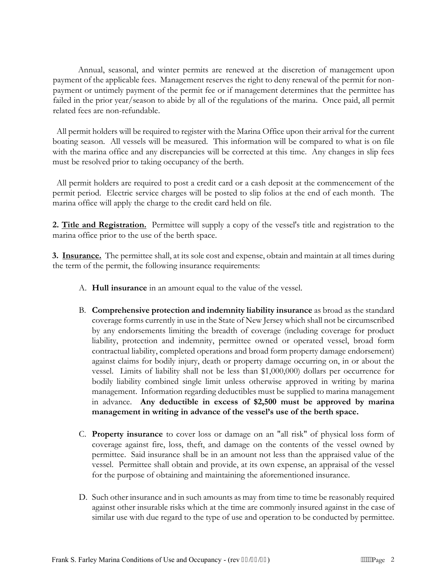Annual, seasonal, and winter permits are renewed at the discretion of management upon payment of the applicable fees. Management reserves the right to deny renewal of the permit for nonpayment or untimely payment of the permit fee or if management determines that the permittee has failed in the prior year/season to abide by all of the regulations of the marina. Once paid, all permit related fees are non-refundable.

 All permit holders will be required to register with the Marina Office upon their arrival for the current boating season. All vessels will be measured. This information will be compared to what is on file with the marina office and any discrepancies will be corrected at this time. Any changes in slip fees must be resolved prior to taking occupancy of the berth.

 All permit holders are required to post a credit card or a cash deposit at the commencement of the permit period. Electric service charges will be posted to slip folios at the end of each month. The marina office will apply the charge to the credit card held on file.

**2. Title and Registration.** Permittee will supply a copy of the vessel's title and registration to the marina office prior to the use of the berth space.

**3. Insurance.** The permittee shall, at its sole cost and expense, obtain and maintain at all times during the term of the permit, the following insurance requirements:

- A. **Hull insurance** in an amount equal to the value of the vessel.
- B. **Comprehensive protection and indemnity liability insurance** as broad as the standard coverage forms currently in use in the State of New Jersey which shall not be circumscribed by any endorsements limiting the breadth of coverage (including coverage for product liability, protection and indemnity, permittee owned or operated vessel, broad form contractual liability, completed operations and broad form property damage endorsement) against claims for bodily injury, death or property damage occurring on, in or about the vessel. Limits of liability shall not be less than \$1,000,000) dollars per occurrence for bodily liability combined single limit unless otherwise approved in writing by marina management. Information regarding deductibles must be supplied to marina management in advance. **Any deductible in excess of \$2,500 must be approved by marina management in writing in advance of the vessel's use of the berth space.**
- C. **Property insurance** to cover loss or damage on an "all risk" of physical loss form of coverage against fire, loss, theft, and damage on the contents of the vessel owned by permittee. Said insurance shall be in an amount not less than the appraised value of the vessel. Permittee shall obtain and provide, at its own expense, an appraisal of the vessel for the purpose of obtaining and maintaining the aforementioned insurance.
- D. Such other insurance and in such amounts as may from time to time be reasonably required against other insurable risks which at the time are commonly insured against in the case of similar use with due regard to the type of use and operation to be conducted by permittee.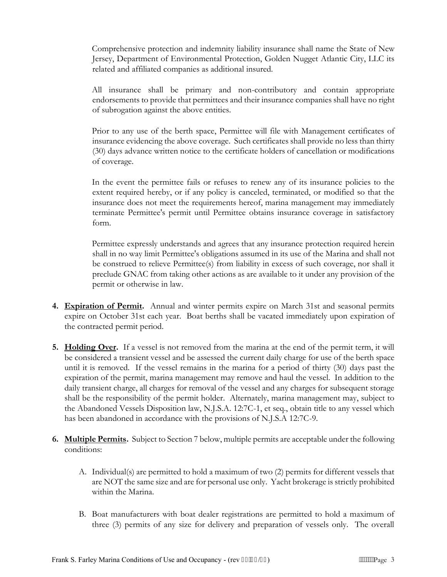Comprehensive protection and indemnity liability insurance shall name the State of New Jersey, Department of Environmental Protection, Golden Nugget Atlantic City, LLC its related and affiliated companies as additional insured.

All insurance shall be primary and non-contributory and contain appropriate endorsements to provide that permittees and their insurance companies shall have no right of subrogation against the above entities.

Prior to any use of the berth space, Permittee will file with Management certificates of insurance evidencing the above coverage. Such certificates shall provide no less than thirty (30) days advance written notice to the certificate holders of cancellation or modifications of coverage.

In the event the permittee fails or refuses to renew any of its insurance policies to the extent required hereby, or if any policy is canceled, terminated, or modified so that the insurance does not meet the requirements hereof, marina management may immediately terminate Permittee's permit until Permittee obtains insurance coverage in satisfactory form.

Permittee expressly understands and agrees that any insurance protection required herein shall in no way limit Permittee's obligations assumed in its use of the Marina and shall not be construed to relieve Permittee(s) from liability in excess of such coverage, nor shall it preclude GNAC from taking other actions as are available to it under any provision of the permit or otherwise in law.

- **4. Expiration of Permit.** Annual and winter permits expire on March 31st and seasonal permits expire on October 31st each year. Boat berths shall be vacated immediately upon expiration of the contracted permit period.
- **5. Holding Over.** If a vessel is not removed from the marina at the end of the permit term, it will be considered a transient vessel and be assessed the current daily charge for use of the berth space until it is removed. If the vessel remains in the marina for a period of thirty (30) days past the expiration of the permit, marina management may remove and haul the vessel. In addition to the daily transient charge, all charges for removal of the vessel and any charges for subsequent storage shall be the responsibility of the permit holder. Alternately, marina management may, subject to the Abandoned Vessels Disposition law, N.J.S.A. 12:7C-1, et seq., obtain title to any vessel which has been abandoned in accordance with the provisions of N.J.S.A 12:7C-9.
- **6. Multiple Permits.** Subject to Section 7 below, multiple permits are acceptable under the following conditions:
	- A. Individual(s) are permitted to hold a maximum of two (2) permits for different vessels that are NOT the same size and are for personal use only. Yacht brokerage is strictly prohibited within the Marina.
	- B. Boat manufacturers with boat dealer registrations are permitted to hold a maximum of three (3) permits of any size for delivery and preparation of vessels only. The overall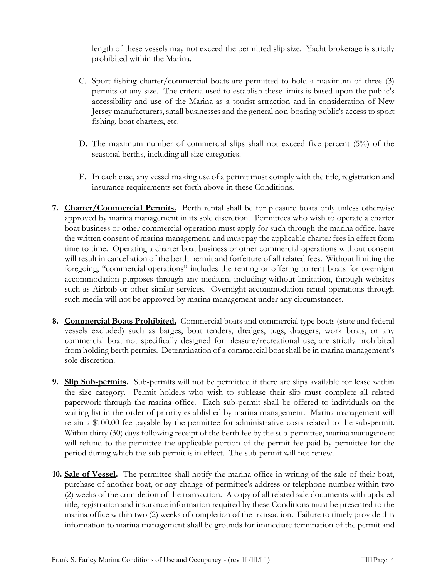length of these vessels may not exceed the permitted slip size. Yacht brokerage is strictly prohibited within the Marina.

- C. Sport fishing charter/commercial boats are permitted to hold a maximum of three (3) permits of any size. The criteria used to establish these limits is based upon the public's accessibility and use of the Marina as a tourist attraction and in consideration of New Jersey manufacturers, small businesses and the general non-boating public's access to sport fishing, boat charters, etc.
- D. The maximum number of commercial slips shall not exceed five percent (5%) of the seasonal berths, including all size categories.
- E. In each case, any vessel making use of a permit must comply with the title, registration and insurance requirements set forth above in these Conditions.
- **7. Charter/Commercial Permits.** Berth rental shall be for pleasure boats only unless otherwise approved by marina management in its sole discretion. Permittees who wish to operate a charter boat business or other commercial operation must apply for such through the marina office, have the written consent of marina management, and must pay the applicable charter fees in effect from time to time. Operating a charter boat business or other commercial operations without consent will result in cancellation of the berth permit and forfeiture of all related fees. Without limiting the foregoing, "commercial operations" includes the renting or offering to rent boats for overnight accommodation purposes through any medium, including without limitation, through websites such as Airbnb or other similar services. Overnight accommodation rental operations through such media will not be approved by marina management under any circumstances.
- **8. Commercial Boats Prohibited.** Commercial boats and commercial type boats (state and federal vessels excluded) such as barges, boat tenders, dredges, tugs, draggers, work boats, or any commercial boat not specifically designed for pleasure/recreational use, are strictly prohibited from holding berth permits. Determination of a commercial boat shall be in marina management's sole discretion.
- **9. Slip Sub-permits.** Sub-permits will not be permitted if there are slips available for lease within the size category. Permit holders who wish to sublease their slip must complete all related paperwork through the marina office. Each sub-permit shall be offered to individuals on the waiting list in the order of priority established by marina management. Marina management will retain a \$100.00 fee payable by the permittee for administrative costs related to the sub-permit. Within thirty (30) days following receipt of the berth fee by the sub-permittee, marina management will refund to the permittee the applicable portion of the permit fee paid by permittee for the period during which the sub-permit is in effect. The sub-permit will not renew.
- **10. Sale of Vessel.** The permittee shall notify the marina office in writing of the sale of their boat, purchase of another boat, or any change of permittee's address or telephone number within two (2) weeks of the completion of the transaction. A copy of all related sale documents with updated title, registration and insurance information required by these Conditions must be presented to the marina office within two (2) weeks of completion of the transaction. Failure to timely provide this information to marina management shall be grounds for immediate termination of the permit and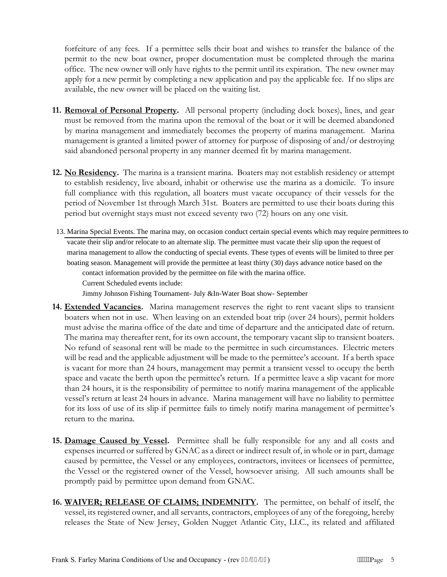forfeiture of any fees. If a permittee sells their boat and wishes to transfer the balance of the permit to the new boat owner, proper documentation must be completed through the marina office. The new owner will only have rights to the permit until its expiration. The new owner may apply for a new permit by completing a new application and pay the applicable fee. If no slips are available, the new owner will be placed on the waiting list.

- **11. Removal of Personal Property.** All personal property (including dock boxes), lines, and gear must be removed from the marina upon the removal of the boat or it will be deemed abandoned by marina management and immediately becomes the property of marina management. Marina management is granted a limited power of attorney for purpose of disposing of and/or destroying said abandoned personal property in any manner deemed fit by marina management.
- **12. No Residency.** The marina is a transient marina. Boaters may not establish residency or attempt to establish residency, live aboard, inhabit or otherwise use the marina as a domicile. To insure full compliance with this regulation, all boaters must vacate occupancy of their vessels for the period of November 1st through March 31st. Boaters are permitted to use their boats during this period but overnight stays must not exceed seventy two (72) hours on any one visit.
- 13. Marina Special Events. The marina may, on occasion conduct certain special events which may require permittees to vacate their slip and/or relocate to an alternate slip. The permittee must vacate their slip upon the request of marina management to allow the conducting of special events. These types of events will be limited to three per boating season. Management will provide the permittee at least thirty (30) days advance notice based on the contact information provided by the permittee on file with the marina office. Current Scheduled events include:

Jimmy Johnson Fishing Tournament- July &In-Water Boat show- September

- **14. Extended Vacancies.** Marina management reserves the right to rent vacant slips to transient boaters when not in use. When leaving on an extended boat trip (over 24 hours), permit holders must advise the marina office of the date and time of departure and the anticipated date of return. The marina may thereafter rent, for its own account, the temporary vacant slip to transient boaters. No refund of seasonal rent will be made to the permittee in such circumstances. Electric meters will be read and the applicable adjustment will be made to the permittee's account. If a berth space is vacant for more than 24 hours, management may permit a transient vessel to occupy the berth space and vacate the berth upon the permittee's return. If a permittee leave a slip vacant for more than 24 hours, it is the responsibility of permittee to notify marina management of the applicable vessel's return at least 24 hours in advance. Marina management will have no liability to permittee for its loss of use of its slip if permittee fails to timely notify marina management of permittee's return to the marina.
- **15. Damage Caused by Vessel.** Permittee shall be fully responsible for any and all costs and expenses incurred or suffered by GNAC as a direct or indirect result of, in whole or in part, damage caused by permittee, the Vessel or any employees, contractors, invitees or licensees of permittee, the Vessel or the registered owner of the Vessel, howsoever arising. All such amounts shall be promptly paid by permittee upon demand from GNAC.
- **16. WAIVER; RELEASE OF CLAIMS; INDEMNITY.** The permittee, on behalf of itself, the vessel, its registered owner, and all servants, contractors, employees of any of the foregoing, hereby releases the State of New Jersey, Golden Nugget Atlantic City, LLC., its related and affiliated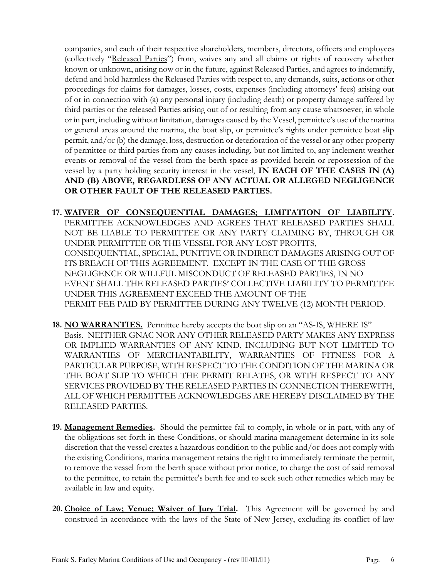companies, and each of their respective shareholders, members, directors, officers and employees (collectively "Released Parties") from, waives any and all claims or rights of recovery whether known or unknown, arising now or in the future, against Released Parties, and agrees to indemnify, defend and hold harmless the Released Parties with respect to, any demands, suits, actions or other proceedings for claims for damages, losses, costs, expenses (including attorneys' fees) arising out of or in connection with (a) any personal injury (including death) or property damage suffered by third parties or the released Parties arising out of or resulting from any cause whatsoever, in whole or in part, including without limitation, damages caused by the Vessel, permittee's use of the marina or general areas around the marina, the boat slip, or permittee's rights under permittee boat slip permit, and/or (b) the damage, loss, destruction or deterioration of the vessel or any other property of permittee or third parties from any causes including, but not limited to, any inclement weather events or removal of the vessel from the berth space as provided herein or repossession of the vessel by a party holding security interest in the vessel, **IN EACH OF THE CASES IN (A) AND (B) ABOVE, REGARDLESS OF ANY ACTUAL OR ALLEGED NEGLIGENCE OR OTHER FAULT OF THE RELEASED PARTIES.**

- **17. WAIVER OF CONSEQUENTIAL DAMAGES; LIMITATION OF LIABILITY.**  PERMITTEE ACKNOWLEDGES AND AGREES THAT RELEASED PARTIES SHALL NOT BE LIABLE TO PERMITTEE OR ANY PARTY CLAIMING BY, THROUGH OR UNDER PERMITTEE OR THE VESSEL FOR ANY LOST PROFITS, CONSEQUENTIAL, SPECIAL, PUNITIVE OR INDIRECT DAMAGES ARISING OUT OF ITS BREACH OF THIS AGREEMENT. EXCEPT IN THE CASE OF THE GROSS NEGLIGENCE OR WILLFUL MISCONDUCT OF RELEASED PARTIES, IN NO EVENT SHALL THE RELEASED PARTIES' COLLECTIVE LIABILITY TO PERMITTEE UNDER THIS AGREEMENT EXCEED THE AMOUNT OF THE PERMIT FEE PAID BY PERMITTEE DURING ANY TWELVE (12) MONTH PERIOD.
- **18. NO WARRANTIES.** Permittee hereby accepts the boat slip on an "AS-IS, WHERE IS" Basis. NEITHER GNAC NOR ANY OTHER RELEASED PARTY MAKES ANY EXPRESS OR IMPLIED WARRANTIES OF ANY KIND, INCLUDING BUT NOT LIMITED TO WARRANTIES OF MERCHANTABILITY, WARRANTIES OF FITNESS FOR A PARTICULAR PURPOSE, WITH RESPECT TO THE CONDITION OF THE MARINA OR THE BOAT SLIP TO WHICH THE PERMIT RELATES, OR WITH RESPECT TO ANY SERVICES PROVIDED BY THE RELEASED PARTIES IN CONNECTION THEREWITH, ALL OF WHICH PERMITTEE ACKNOWLEDGES ARE HEREBY DISCLAIMED BY THE RELEASED PARTIES.
- **19. Management Remedies.** Should the permittee fail to comply, in whole or in part, with any of the obligations set forth in these Conditions, or should marina management determine in its sole discretion that the vessel creates a hazardous condition to the public and/or does not comply with the existing Conditions, marina management retains the right to immediately terminate the permit, to remove the vessel from the berth space without prior notice, to charge the cost of said removal to the permittee, to retain the permittee's berth fee and to seek such other remedies which may be available in law and equity.
- **20. Choice of Law; Venue; Waiver of Jury Trial.** This Agreement will be governed by and construed in accordance with the laws of the State of New Jersey, excluding its conflict of law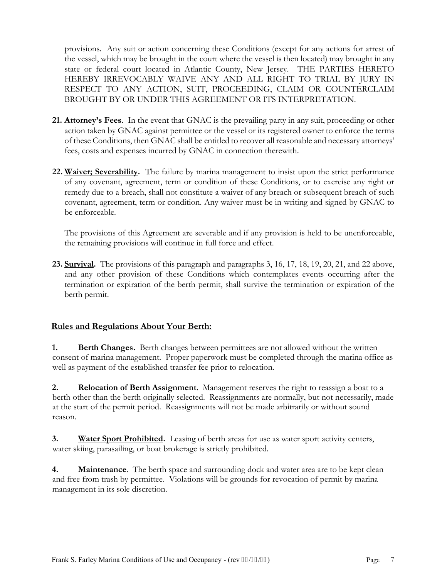provisions. Any suit or action concerning these Conditions (except for any actions for arrest of the vessel, which may be brought in the court where the vessel is then located) may brought in any state or federal court located in Atlantic County, New Jersey. THE PARTIES HERETO HEREBY IRREVOCABLY WAIVE ANY AND ALL RIGHT TO TRIAL BY JURY IN RESPECT TO ANY ACTION, SUIT, PROCEEDING, CLAIM OR COUNTERCLAIM BROUGHT BY OR UNDER THIS AGREEMENT OR ITS INTERPRETATION.

- **21. Attorney's Fees**. In the event that GNAC is the prevailing party in any suit, proceeding or other action taken by GNAC against permittee or the vessel or its registered owner to enforce the terms of these Conditions, then GNAC shall be entitled to recover all reasonable and necessary attorneys' fees, costs and expenses incurred by GNAC in connection therewith.
- **22. Waiver; Severability.** The failure by marina management to insist upon the strict performance of any covenant, agreement, term or condition of these Conditions, or to exercise any right or remedy due to a breach, shall not constitute a waiver of any breach or subsequent breach of such covenant, agreement, term or condition. Any waiver must be in writing and signed by GNAC to be enforceable.

The provisions of this Agreement are severable and if any provision is held to be unenforceable, the remaining provisions will continue in full force and effect.

**23. Survival.** The provisions of this paragraph and paragraphs 3, 16, 17, 18, 19, 20, 21, and 22 above, and any other provision of these Conditions which contemplates events occurring after the termination or expiration of the berth permit, shall survive the termination or expiration of the berth permit.

### **Rules and Regulations About Your Berth:**

**1. Berth Changes.** Berth changes between permittees are not allowed without the written consent of marina management. Proper paperwork must be completed through the marina office as well as payment of the established transfer fee prior to relocation.

**2. Relocation of Berth Assignment**. Management reserves the right to reassign a boat to a berth other than the berth originally selected. Reassignments are normally, but not necessarily, made at the start of the permit period. Reassignments will not be made arbitrarily or without sound reason.

**3. Water Sport Prohibited.** Leasing of berth areas for use as water sport activity centers, water skiing, parasailing, or boat brokerage is strictly prohibited.

**4. Maintenance**. The berth space and surrounding dock and water area are to be kept clean and free from trash by permittee. Violations will be grounds for revocation of permit by marina management in its sole discretion.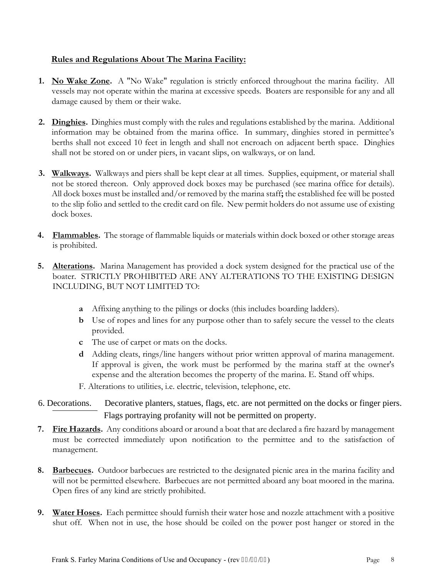### **Rules and Regulations About The Marina Facility:**

- **1. No Wake Zone.** A "No Wake" regulation is strictly enforced throughout the marina facility. All vessels may not operate within the marina at excessive speeds. Boaters are responsible for any and all damage caused by them or their wake.
- **2. Dinghies.** Dinghies must comply with the rules and regulations established by the marina. Additional information may be obtained from the marina office. In summary, dinghies stored in permittee's berths shall not exceed 10 feet in length and shall not encroach on adjacent berth space. Dinghies shall not be stored on or under piers, in vacant slips, on walkways, or on land.
- **3. Walkways.** Walkways and piers shall be kept clear at all times. Supplies, equipment, or material shall not be stored thereon. Only approved dock boxes may be purchased (see marina office for details). All dock boxes must be installed and/or removed by the marina staff**;** the established fee will be posted to the slip folio and settled to the credit card on file. New permit holders do not assume use of existing dock boxes.
- **4. Flammables.** The storage of flammable liquids or materials within dock boxed or other storage areas is prohibited.
- **5. Alterations.** Marina Management has provided a dock system designed for the practical use of the boater.STRICTLY PROHIBITED ARE ANY ALTERATIONS TO THE EXISTING DESIGN INCLUDING, BUT NOT LIMITED TO:
	- **a** Affixing anything to the pilings or docks (this includes boarding ladders).
	- **b** Use of ropes and lines for any purpose other than to safely secure the vessel to the cleats provided.
	- **c** The use of carpet or mats on the docks.
	- **d** Adding cleats, rings/line hangers without prior written approval of marina management. If approval is given, the work must be performed by the marina staff at the owner's expense and the alteration becomes the property of the marina. E. Stand off whips.
	- F. Alterations to utilities, i.e. electric, television, telephone, etc.
- 6. Decorations. Decorative planters, statues, flags, etc. are not permitted on the docks or finger piers. Flags portraying profanity will not be permitted on property.
- **7. Fire Hazards.** Any conditions aboard or around a boat that are declared a fire hazard by management must be corrected immediately upon notification to the permittee and to the satisfaction of management.
- **8. Barbecues.** Outdoor barbecues are restricted to the designated picnic area in the marina facility and will not be permitted elsewhere. Barbecues are not permitted aboard any boat moored in the marina. Open fires of any kind are strictly prohibited.
- **9. Water Hoses.** Each permittee should furnish their water hose and nozzle attachment with a positive shut off. When not in use, the hose should be coiled on the power post hanger or stored in the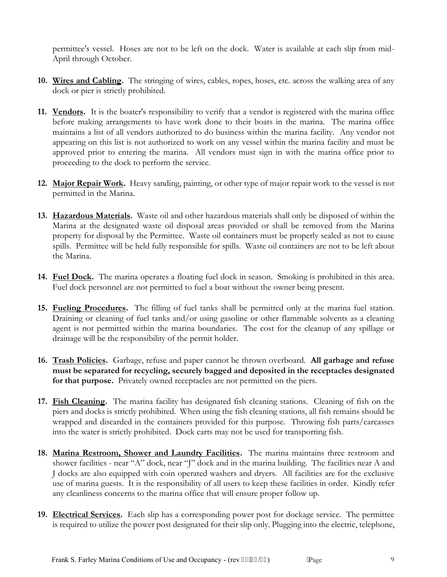permittee's vessel. Hoses are not to be left on the dock. Water is available at each slip from mid-April through October.

- **10. Wires and Cabling.** The stringing of wires, cables, ropes, hoses, etc. across the walking area of any dock or pier is strictly prohibited.
- **11. Vendors.** It is the boater's responsibility to verify that a vendor is registered with the marina office before making arrangements to have work done to their boats in the marina. The marina office maintains a list of all vendors authorized to do business within the marina facility. Any vendor not appearing on this list is not authorized to work on any vessel within the marina facility and must be approved prior to entering the marina. All vendors must sign in with the marina office prior to proceeding to the dock to perform the service.
- **12. Major Repair Work.** Heavy sanding, painting, or other type of major repair work to the vessel is not permitted in the Marina.
- **13. Hazardous Materials.** Waste oil and other hazardous materials shall only be disposed of within the Marina at the designated waste oil disposal areas provided or shall be removed from the Marina property for disposal by the Permittee. Waste oil containers must be properly sealed as not to cause spills. Permittee will be held fully responsible for spills. Waste oil containers are not to be left about the Marina.
- **14. Fuel Dock.** The marina operates a floating fuel dock in season. Smoking is prohibited in this area. Fuel dock personnel are not permitted to fuel a boat without the owner being present.
- **15. Fueling Procedures.** The filling of fuel tanks shall be permitted only at the marina fuel station. Draining or cleaning of fuel tanks and/or using gasoline or other flammable solvents as a cleaning agent is not permitted within the marina boundaries. The cost for the cleanup of any spillage or drainage will be the responsibility of the permit holder.
- **16. Trash Policies.** Garbage, refuse and paper cannot be thrown overboard. **All garbage and refuse must be separated for recycling, securely bagged and deposited in the receptacles designated for that purpose.** Privately owned receptacles are not permitted on the piers.
- **17. Fish Cleaning.** The marina facility has designated fish cleaning stations. Cleaning of fish on the piers and docks is strictly prohibited. When using the fish cleaning stations, all fish remains should be wrapped and discarded in the containers provided for this purpose. Throwing fish parts/carcasses into the water is strictly prohibited. Dock carts may not be used for transporting fish.
- **18. Marina Restroom, Shower and Laundry Facilities.** The marina maintains three restroom and shower facilities - near "A" dock, near "J" dock and in the marina building. The facilities near A and J docks are also equipped with coin operated washers and dryers. All facilities are for the exclusive use of marina guests. It is the responsibility of all users to keep these facilities in order. Kindly refer any cleanliness concerns to the marina office that will ensure proper follow up.
- **19. Electrical Services.** Each slip has a corresponding power post for dockage service. The permittee is required to utilize the power post designated for their slip only. Plugging into the electric, telephone,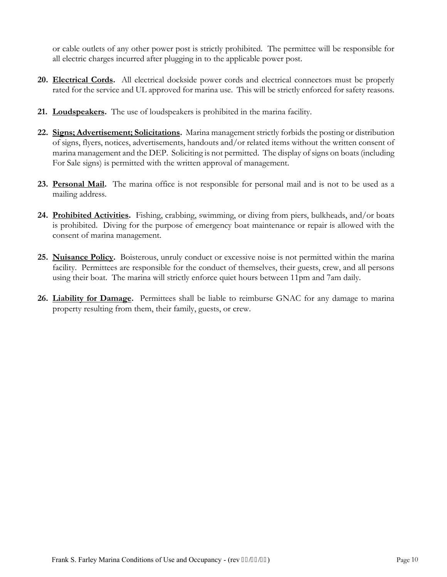or cable outlets of any other power post is strictly prohibited. The permittee will be responsible for all electric charges incurred after plugging in to the applicable power post.

- **20. Electrical Cords.** All electrical dockside power cords and electrical connectors must be properly rated for the service and UL approved for marina use. This will be strictly enforced for safety reasons.
- **21. Loudspeakers.** The use of loudspeakers is prohibited in the marina facility.
- **22. Signs; Advertisement; Solicitations.** Marina management strictly forbids the posting or distribution of signs, flyers, notices, advertisements, handouts and/or related items without the written consent of marina management and the DEP. Soliciting is not permitted. The display of signs on boats (including For Sale signs) is permitted with the written approval of management.
- **23. Personal Mail.** The marina office is not responsible for personal mail and is not to be used as a mailing address.
- **24. Prohibited Activities.** Fishing, crabbing, swimming, or diving from piers, bulkheads, and/or boats is prohibited. Diving for the purpose of emergency boat maintenance or repair is allowed with the consent of marina management.
- **25. Nuisance Policy.** Boisterous, unruly conduct or excessive noise is not permitted within the marina facility. Permittees are responsible for the conduct of themselves, their guests, crew, and all persons using their boat. The marina will strictly enforce quiet hours between 11pm and 7am daily.
- **26. Liability for Damage.** Permittees shall be liable to reimburse GNAC for any damage to marina property resulting from them, their family, guests, or crew.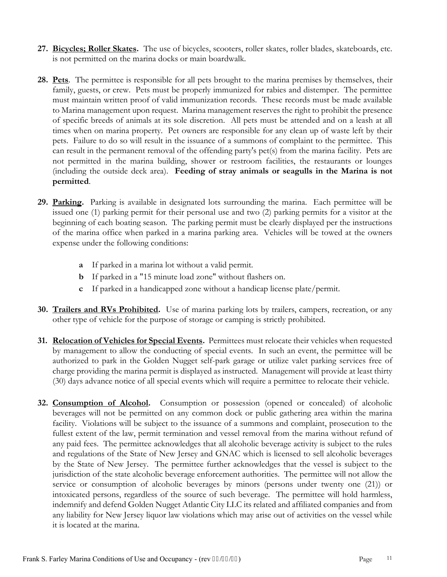- **27. Bicycles; Roller Skates.** The use of bicycles, scooters, roller skates, roller blades, skateboards, etc. is not permitted on the marina docks or main boardwalk.
- **28. Pets**. The permittee is responsible for all pets brought to the marina premises by themselves, their family, guests, or crew. Pets must be properly immunized for rabies and distemper. The permittee must maintain written proof of valid immunization records. These records must be made available to Marina management upon request. Marina management reserves the right to prohibit the presence of specific breeds of animals at its sole discretion. All pets must be attended and on a leash at all times when on marina property. Pet owners are responsible for any clean up of waste left by their pets. Failure to do so will result in the issuance of a summons of complaint to the permittee. This can result in the permanent removal of the offending party's pet(s) from the marina facility. Pets are not permitted in the marina building, shower or restroom facilities, the restaurants or lounges (including the outside deck area). **Feeding of stray animals or seagulls in the Marina is not permitted**.
- **29. Parking.** Parking is available in designated lots surrounding the marina. Each permittee will be issued one (1) parking permit for their personal use and two (2) parking permits for a visitor at the beginning of each boating season. The parking permit must be clearly displayed per the instructions of the marina office when parked in a marina parking area. Vehicles will be towed at the owners expense under the following conditions:
	- **a** If parked in a marina lot without a valid permit.
	- **b** If parked in a "15 minute load zone" without flashers on.
	- **c** If parked in a handicapped zone without a handicap license plate/permit.
- **30. Trailers and RVs Prohibited.** Use of marina parking lots by trailers, campers, recreation, or any other type of vehicle for the purpose of storage or camping is strictly prohibited.
- **31. Relocation of Vehicles for Special Events.** Permittees must relocate their vehicles when requested by management to allow the conducting of special events. In such an event, the permittee will be authorized to park in the Golden Nugget self-park garage or utilize valet parking services free of charge providing the marina permit is displayed as instructed. Management will provide at least thirty (30) days advance notice of all special events which will require a permittee to relocate their vehicle.
- **32. Consumption of Alcohol.** Consumption or possession (opened or concealed) of alcoholic beverages will not be permitted on any common dock or public gathering area within the marina facility. Violations will be subject to the issuance of a summons and complaint, prosecution to the fullest extent of the law, permit termination and vessel removal from the marina without refund of any paid fees. The permittee acknowledges that all alcoholic beverage activity is subject to the rules and regulations of the State of New Jersey and GNAC which is licensed to sell alcoholic beverages by the State of New Jersey. The permittee further acknowledges that the vessel is subject to the jurisdiction of the state alcoholic beverage enforcement authorities. The permittee will not allow the service or consumption of alcoholic beverages by minors (persons under twenty one (21)) or intoxicated persons, regardless of the source of such beverage. The permittee will hold harmless, indemnify and defend Golden Nugget Atlantic City LLC its related and affiliated companies and from any liability for New Jersey liquor law violations which may arise out of activities on the vessel while it is located at the marina.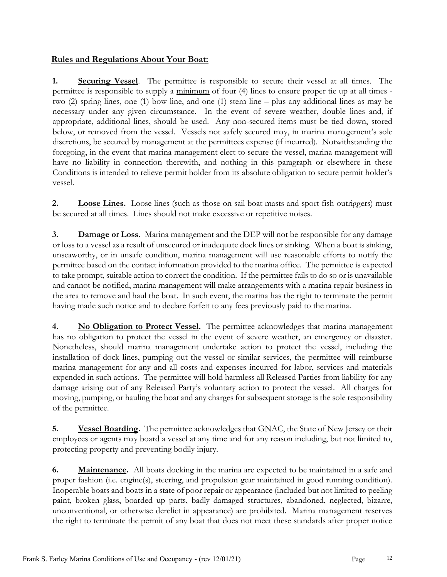### **Rules and Regulations About Your Boat:**

**1. Securing Vessel**. The permittee is responsible to secure their vessel at all times. The permittee is responsible to supply a minimum of four (4) lines to ensure proper tie up at all times two (2) spring lines, one (1) bow line, and one (1) stern line – plus any additional lines as may be necessary under any given circumstance. In the event of severe weather, double lines and, if appropriate, additional lines, should be used. Any non-secured items must be tied down, stored below, or removed from the vessel. Vessels not safely secured may, in marina management's sole discretions, be secured by management at the permittees expense (if incurred). Notwithstanding the foregoing, in the event that marina management elect to secure the vessel, marina management will have no liability in connection therewith, and nothing in this paragraph or elsewhere in these Conditions is intended to relieve permit holder from its absolute obligation to secure permit holder's vessel.

**2. Loose Lines.** Loose lines (such as those on sail boat masts and sport fish outriggers) must be secured at all times. Lines should not make excessive or repetitive noises.

**3. Damage or Loss.** Marina management and the DEP will not be responsible for any damage or loss to a vessel as a result of unsecured or inadequate dock lines or sinking. When a boat is sinking, unseaworthy, or in unsafe condition, marina management will use reasonable efforts to notify the permittee based on the contact information provided to the marina office. The permittee is expected to take prompt, suitable action to correct the condition. If the permittee fails to do so or is unavailable and cannot be notified, marina management will make arrangements with a marina repair business in the area to remove and haul the boat. In such event, the marina has the right to terminate the permit having made such notice and to declare forfeit to any fees previously paid to the marina.

**4. No Obligation to Protect Vessel.** The permittee acknowledges that marina management has no obligation to protect the vessel in the event of severe weather, an emergency or disaster. Nonetheless, should marina management undertake action to protect the vessel, including the installation of dock lines, pumping out the vessel or similar services, the permittee will reimburse marina management for any and all costs and expenses incurred for labor, services and materials expended in such actions. The permittee will hold harmless all Released Parties from liability for any damage arising out of any Released Party's voluntary action to protect the vessel. All charges for moving, pumping, or hauling the boat and any charges for subsequent storage is the sole responsibility of the permittee.

**5. Vessel Boarding.** The permittee acknowledges that GNAC, the State of New Jersey or their employees or agents may board a vessel at any time and for any reason including, but not limited to, protecting property and preventing bodily injury.

**6. Maintenance.** All boats docking in the marina are expected to be maintained in a safe and proper fashion (i.e. engine(s), steering, and propulsion gear maintained in good running condition). Inoperable boats and boats in a state of poor repair or appearance (included but not limited to peeling paint, broken glass, boarded up parts, badly damaged structures, abandoned, neglected, bizarre, unconventional, or otherwise derelict in appearance) are prohibited. Marina management reserves the right to terminate the permit of any boat that does not meet these standards after proper notice